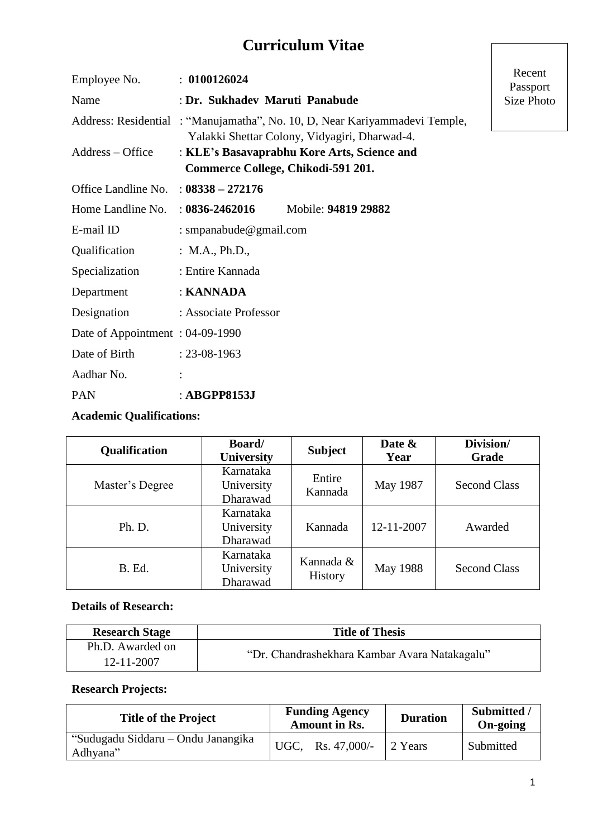# **Curriculum Vitae**

| Employee No.                    | : 0100126024                                                                                                                |                     | Recent<br>Passport |  |
|---------------------------------|-----------------------------------------------------------------------------------------------------------------------------|---------------------|--------------------|--|
| Name                            | : Dr. Sukhadev Maruti Panabude                                                                                              | Size Photo          |                    |  |
|                                 | Address: Residential: "Manujamatha", No. 10, D, Near Kariyammadevi Temple,<br>Yalakki Shettar Colony, Vidyagiri, Dharwad-4. |                     |                    |  |
| Address – Office                | : KLE's Basavaprabhu Kore Arts, Science and<br>Commerce College, Chikodi-591 201.                                           |                     |                    |  |
| Office Landline No.             | $: 08338 - 272176$                                                                                                          |                     |                    |  |
| Home Landline No.               | $: 0836 - 2462016$                                                                                                          | Mobile: 94819 29882 |                    |  |
| E-mail ID                       | : smpanabude@gmail.com                                                                                                      |                     |                    |  |
| Qualification                   | : $M.A., Ph.D.,$                                                                                                            |                     |                    |  |
| Specialization                  | : Entire Kannada                                                                                                            |                     |                    |  |
| Department                      | : KANNADA                                                                                                                   |                     |                    |  |
| Designation                     | : Associate Professor                                                                                                       |                     |                    |  |
| Date of Appointment: 04-09-1990 |                                                                                                                             |                     |                    |  |
| Date of Birth                   | $: 23 - 08 - 1963$                                                                                                          |                     |                    |  |
| Aadhar No.                      |                                                                                                                             |                     |                    |  |
| <b>PAN</b>                      | : ABGPP8153J                                                                                                                |                     |                    |  |

## **Academic Qualifications:**

| <b>Qualification</b> | <b>Board</b> /<br>University        | <b>Subject</b>              | Date &<br>Year | Division/<br>Grade  |
|----------------------|-------------------------------------|-----------------------------|----------------|---------------------|
| Master's Degree      | Karnataka<br>University<br>Dharawad | Entire<br>Kannada           | May 1987       | <b>Second Class</b> |
| Ph. D.               | Karnataka<br>University<br>Dharawad | Kannada                     | 12-11-2007     | Awarded             |
| B. Ed.               | Karnataka<br>University<br>Dharawad | Kannada &<br><b>History</b> | May 1988       | <b>Second Class</b> |

### **Details of Research:**

| <b>Research Stage</b> | <b>Title of Thesis</b>                        |
|-----------------------|-----------------------------------------------|
| Ph.D. Awarded on      |                                               |
| 12-11-2007            | "Dr. Chandrashekhara Kambar Avara Natakagalu" |

#### **Research Projects:**

| <b>Title of the Project</b>                    | <b>Funding Agency</b><br><b>Amount in Rs.</b> |                     | <b>Duration</b> | Submitted /<br>On-going |
|------------------------------------------------|-----------------------------------------------|---------------------|-----------------|-------------------------|
| "Sudugadu Siddaru – Ondu Janangika<br>Adhyana" |                                               | UGC, Rs. $47,000/-$ | 2 Years         | Submitted               |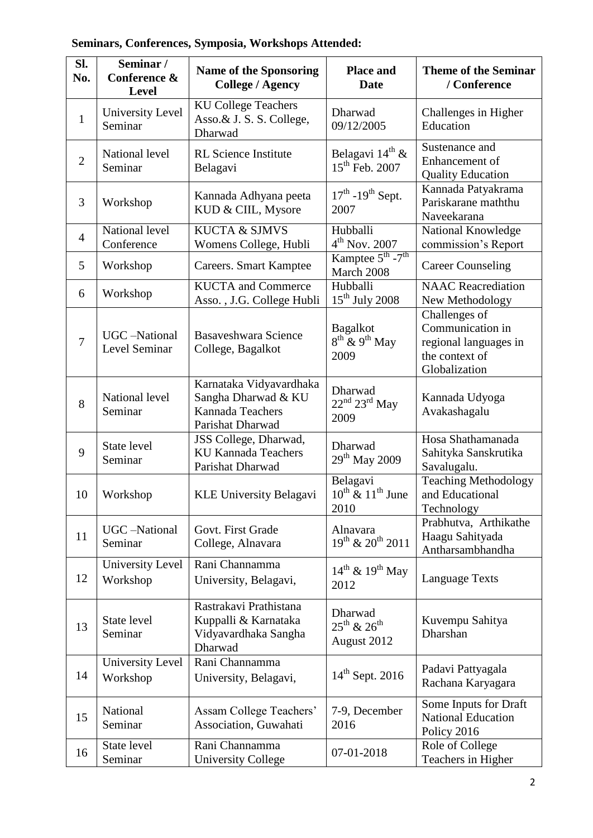## **Seminars, Conferences, Symposia, Workshops Attended:**

| SI.<br>No.     | Seminar /<br>Conference &<br><b>Level</b> | <b>Name of the Sponsoring</b><br><b>College / Agency</b>                               | <b>Place and</b><br><b>Date</b>                           | <b>Theme of the Seminar</b><br>/ Conference                                                   |
|----------------|-------------------------------------------|----------------------------------------------------------------------------------------|-----------------------------------------------------------|-----------------------------------------------------------------------------------------------|
| $\mathbf{1}$   | <b>University Level</b><br>Seminar        | <b>KU College Teachers</b><br>Asso.& J. S. S. College,<br>Dharwad                      | Dharwad<br>09/12/2005                                     | Challenges in Higher<br>Education                                                             |
| $\overline{2}$ | National level<br>Seminar                 | <b>RL</b> Science Institute<br>Belagavi                                                | Belagavi 14 <sup>th</sup> &<br>$15^{th}$ Feb. 2007        | Sustenance and<br>Enhancement of<br><b>Quality Education</b>                                  |
| 3              | Workshop                                  | Kannada Adhyana peeta<br>KUD & CIIL, Mysore                                            | $17th$ -19 <sup>th</sup> Sept.<br>2007                    | Kannada Patyakrama<br>Pariskarane maththu<br>Naveekarana                                      |
| $\overline{4}$ | National level<br>Conference              | <b>KUCTA &amp; SJMVS</b><br>Womens College, Hubli                                      | Hubballi<br>$4th$ Nov. 2007                               | National Knowledge<br>commission's Report                                                     |
| 5              | Workshop                                  | Careers. Smart Kamptee                                                                 | Kamptee $5^{\text{th}}$ -7 <sup>th</sup><br>March 2008    | <b>Career Counseling</b>                                                                      |
| 6              | Workshop                                  | <b>KUCTA</b> and Commerce<br>Asso., J.G. College Hubli                                 | Hubballi<br>$15th$ July 2008                              | <b>NAAC</b> Reacrediation<br>New Methodology                                                  |
| $\overline{7}$ | UGC-National<br>Level Seminar             | <b>Basaveshwara Science</b><br>College, Bagalkot                                       | <b>Bagalkot</b><br>$8^{th}$ & 9 <sup>th</sup> May<br>2009 | Challenges of<br>Communication in<br>regional languages in<br>the context of<br>Globalization |
| 8              | National level<br>Seminar                 | Karnataka Vidyavardhaka<br>Sangha Dharwad & KU<br>Kannada Teachers<br>Parishat Dharwad | Dharwad<br>$22^{nd}$ $23^{rd}$ May<br>2009                | Kannada Udyoga<br>Avakashagalu                                                                |
| 9              | State level<br>Seminar                    | JSS College, Dharwad,<br><b>KU Kannada Teachers</b><br>Parishat Dharwad                | Dharwad<br>$29^{\text{th}}$ May 2009                      | Hosa Shathamanada<br>Sahityka Sanskrutika<br>Savalugalu.                                      |
| 10             | Workshop                                  | <b>KLE University Belagavi</b>                                                         | Belagavi<br>$10^{th}$ & $11^{th}$ June<br>2010            | <b>Teaching Methodology</b><br>and Educational<br>Technology                                  |
| 11             | <b>UGC</b> -National<br>Seminar           | Govt. First Grade<br>College, Alnavara                                                 | Alnavara<br>$19^{th}$ & $20^{th}$ 2011                    | Prabhutva, Arthikathe<br>Haagu Sahityada<br>Antharsambhandha                                  |
| 12             | University Level<br>Workshop              | Rani Channamma<br>University, Belagavi,                                                | $14^{\text{th}}$ & $19^{\text{th}}$ May<br>2012           | <b>Language Texts</b>                                                                         |
| 13             | State level<br>Seminar                    | Rastrakavi Prathistana<br>Kuppalli & Karnataka<br>Vidyavardhaka Sangha<br>Dharwad      | Dharwad<br>$25^{th}$ & $26^{th}$<br>August 2012           | Kuvempu Sahitya<br>Dharshan                                                                   |
| 14             | University Level<br>Workshop              | Rani Channamma<br>University, Belagavi,                                                | $14th$ Sept. 2016                                         | Padavi Pattyagala<br>Rachana Karyagara                                                        |
| 15             | National<br>Seminar                       | Assam College Teachers'<br>Association, Guwahati                                       | 7-9, December<br>2016                                     | Some Inputs for Draft<br><b>National Education</b><br>Policy 2016                             |
| 16             | State level<br>Seminar                    | Rani Channamma<br><b>University College</b>                                            | 07-01-2018                                                | Role of College<br>Teachers in Higher                                                         |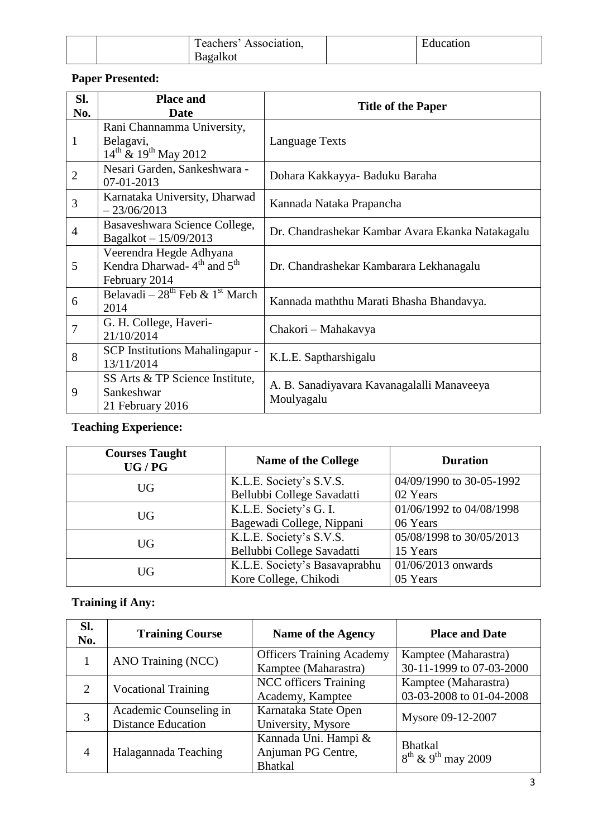|  | —<br>Association.<br>reachers? | Education |
|--|--------------------------------|-----------|
|  | 3agalkot                       |           |

## **Paper Presented:**

| Sl.<br>No.     | <b>Place and</b><br><b>Date</b>                                                                | <b>Title of the Paper</b>                                |
|----------------|------------------------------------------------------------------------------------------------|----------------------------------------------------------|
| 1              | Rani Channamma University,<br>Belagavi,<br>$14^{th}$ & $19^{th}$ May 2012                      | Language Texts                                           |
| $\overline{2}$ | Nesari Garden, Sankeshwara -<br>07-01-2013                                                     | Dohara Kakkayya- Baduku Baraha                           |
| 3              | Karnataka University, Dharwad<br>$-23/06/2013$                                                 | Kannada Nataka Prapancha                                 |
| $\overline{4}$ | Basaveshwara Science College,<br>Bagalkot - 15/09/2013                                         | Dr. Chandrashekar Kambar Avara Ekanka Natakagalu         |
| 5              | Veerendra Hegde Adhyana<br>Kendra Dharwad-4 <sup>th</sup> and 5 <sup>th</sup><br>February 2014 | Dr. Chandrashekar Kambarara Lekhanagalu                  |
| 6              | Belavadi – $28^{th}$ Feb & $1^{st}$ March<br>2014                                              | Kannada maththu Marati Bhasha Bhandavya.                 |
| 7              | G. H. College, Haveri-<br>21/10/2014                                                           | Chakori – Mahakavya                                      |
| 8              | SCP Institutions Mahalingapur -<br>13/11/2014                                                  | K.L.E. Saptharshigalu                                    |
| 9              | SS Arts & TP Science Institute,<br>Sankeshwar<br>21 February 2016                              | A. B. Sanadiyayara Kavanagalalli Manaveeya<br>Moulyagalu |

## **Teaching Experience:**

| <b>Courses Taught</b><br>UG/PG | <b>Name of the College</b>    | <b>Duration</b>          |
|--------------------------------|-------------------------------|--------------------------|
| <b>UG</b>                      | K.L.E. Society's S.V.S.       | 04/09/1990 to 30-05-1992 |
|                                | Bellubbi College Savadatti    | 02 Years                 |
| <b>UG</b>                      | K.L.E. Society's G. I.        | 01/06/1992 to 04/08/1998 |
|                                | Bagewadi College, Nippani     | 06 Years                 |
| <b>UG</b>                      | K.L.E. Society's S.V.S.       | 05/08/1998 to 30/05/2013 |
|                                | Bellubbi College Savadatti    | 15 Years                 |
| <b>UG</b>                      | K.L.E. Society's Basavaprabhu | 01/06/2013 onwards       |
|                                | Kore College, Chikodi         | 05 Years                 |

## **Training if Any:**

| Sl.<br>No. | <b>Training Course</b>                              | Name of the Agency                                           | <b>Place and Date</b>                                        |
|------------|-----------------------------------------------------|--------------------------------------------------------------|--------------------------------------------------------------|
|            | ANO Training (NCC)                                  | <b>Officers Training Academy</b><br>Kamptee (Maharastra)     | Kamptee (Maharastra)<br>30-11-1999 to 07-03-2000             |
| 2          | <b>Vocational Training</b>                          | <b>NCC</b> officers Training<br>Academy, Kamptee             | Kamptee (Maharastra)<br>03-03-2008 to 01-04-2008             |
| 3          | Academic Counseling in<br><b>Distance Education</b> | Karnataka State Open<br>University, Mysore                   | Mysore 09-12-2007                                            |
| 4          | Halagannada Teaching                                | Kannada Uni. Hampi &<br>Anjuman PG Centre,<br><b>Bhatkal</b> | <b>Bhatkal</b><br>$8^{\text{th}}$ & 9 <sup>th</sup> may 2009 |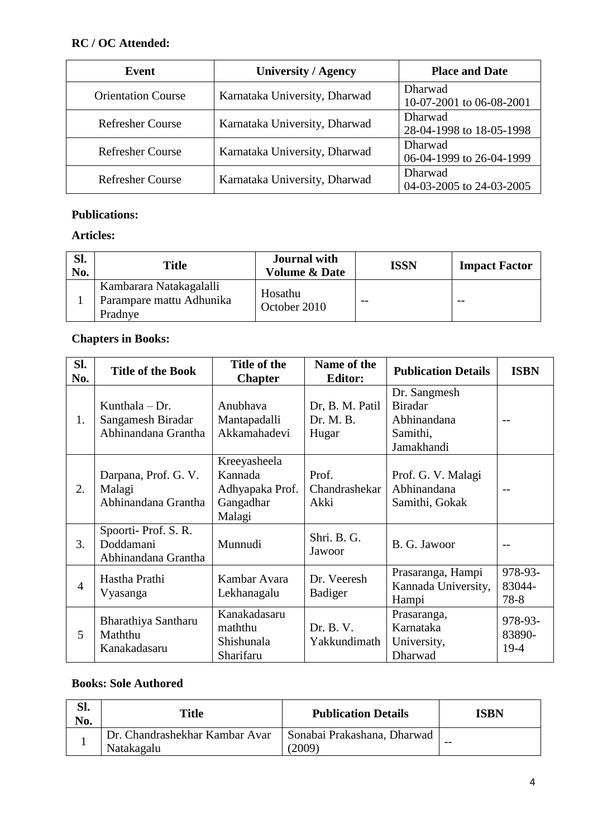### **RC / OC Attended:**

| Event                     | <b>University / Agency</b>    | <b>Place and Date</b>               |
|---------------------------|-------------------------------|-------------------------------------|
| <b>Orientation Course</b> | Karnataka University, Dharwad | Dharwad<br>10-07-2001 to 06-08-2001 |
| <b>Refresher Course</b>   | Karnataka University, Dharwad | Dharwad<br>28-04-1998 to 18-05-1998 |
| <b>Refresher Course</b>   | Karnataka University, Dharwad | Dharwad<br>06-04-1999 to 26-04-1999 |
| <b>Refresher Course</b>   | Karnataka University, Dharwad | Dharwad<br>04-03-2005 to 24-03-2005 |

#### **Publications:**

### **Articles:**

| Sl.<br>No. | <b>Title</b>                                                   | <b>Journal with</b><br><b>Volume &amp; Date</b> | <b>ISSN</b> | <b>Impact Factor</b> |
|------------|----------------------------------------------------------------|-------------------------------------------------|-------------|----------------------|
|            | Kambarara Natakagalalli<br>Parampare mattu Adhunika<br>Pradnye | Hosathu<br>October 2010                         |             | $- -$                |

## **Chapters in Books:**

| Sl.<br>No.     | <b>Title of the Book</b>                                     | Title of the<br><b>Chapter</b>                                    | Name of the<br><b>Editor:</b>         | <b>Publication Details</b>                                              | <b>ISBN</b>                 |
|----------------|--------------------------------------------------------------|-------------------------------------------------------------------|---------------------------------------|-------------------------------------------------------------------------|-----------------------------|
| 1.             | Kunthala $-$ Dr.<br>Sangamesh Biradar<br>Abhinandana Grantha | Anubhava<br>Mantapadalli<br>Akkamahadevi                          | Dr, B. M. Patil<br>Dr. M. B.<br>Hugar | Dr. Sangmesh<br><b>Biradar</b><br>Abhinandana<br>Samithi,<br>Jamakhandi | $-$                         |
| 2.             | Darpana, Prof. G. V.<br>Malagi<br>Abhinandana Grantha        | Kreeyasheela<br>Kannada<br>Adhyapaka Prof.<br>Gangadhar<br>Malagi | Prof.<br>Chandrashekar<br>Akki        | Prof. G. V. Malagi<br>Abhinandana<br>Samithi, Gokak                     | $-$                         |
| 3.             | Spoorti-Prof. S.R.<br>Doddamani<br>Abhinandana Grantha       | Munnudi                                                           | Shri. B. G.<br>Jawoor                 | B. G. Jawoor                                                            | $ -$                        |
| $\overline{4}$ | Hastha Prathi<br>Vyasanga                                    | Kambar Avara<br>Lekhanagalu                                       | Dr. Veeresh<br>Badiger                | Prasaranga, Hampi<br>Kannada University,<br>Hampi                       | 978-93-<br>83044-<br>78-8   |
| 5              | Bharathiya Santharu<br>Maththu<br>Kanakadasaru               | Kanakadasaru<br>maththu<br>Shishunala<br>Sharifaru                | Dr. B. V.<br>Yakkundimath             | Prasaranga,<br>Karnataka<br>University,<br>Dharwad                      | 978-93-<br>83890-<br>$19-4$ |

#### **Books: Sole Authored**

| Sl.<br>No. | <b>Title</b>                                 | <b>Publication Details</b>            | ISBN  |
|------------|----------------------------------------------|---------------------------------------|-------|
|            | Dr. Chandrashekhar Kambar Avar<br>Natakagalu | Sonabai Prakashana, Dharwad<br>(2009) | $- -$ |